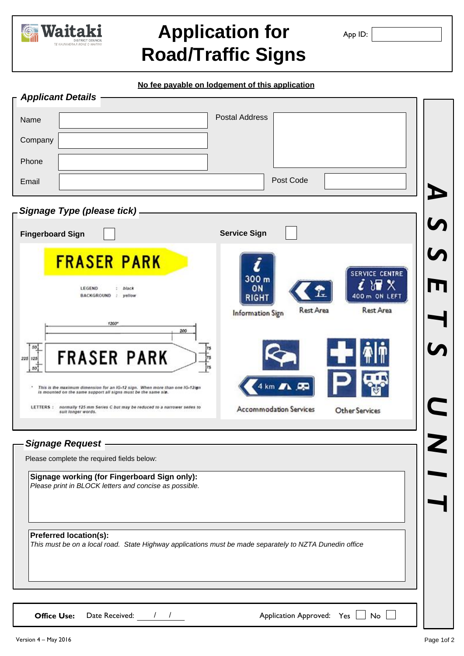

# **Application for Road/Traffic Signs**

App ID:

**No fee payable on lodgement of this application**

| <b>Applicant Details -</b>                                                                                                                     |                                                                           |  |
|------------------------------------------------------------------------------------------------------------------------------------------------|---------------------------------------------------------------------------|--|
| Name                                                                                                                                           | <b>Postal Address</b>                                                     |  |
| Company                                                                                                                                        |                                                                           |  |
| Phone                                                                                                                                          |                                                                           |  |
| Email                                                                                                                                          | Post Code                                                                 |  |
| Signage Type (please tick)-                                                                                                                    |                                                                           |  |
| <b>Fingerboard Sign</b>                                                                                                                        | <b>Service Sign</b>                                                       |  |
| <b>FRASER PARK</b>                                                                                                                             |                                                                           |  |
| LEGEND<br>: black<br>BACKGROUND : yellow                                                                                                       | <b>SERVICE CENTRE</b><br>300 <sub>m</sub><br>ON<br>400 m ON LEFT<br>RIGHT |  |
| 1200*                                                                                                                                          | <b>Rest Area</b><br>Rest Area<br>Information Sign                         |  |
| 200<br>50,                                                                                                                                     |                                                                           |  |
| <b>FRASER PARK</b><br>225 125<br>50                                                                                                            |                                                                           |  |
| This is the maximum dimension for an IG-12 sign. When more than one IG-12ign<br>is mounted on the same support all signs must be the same siz. | 4 km $\blacksquare$ $\blacksquare$                                        |  |
| LETTERS : normally 125 mm Series C but may be reduced to a narrower series to<br>suit longer words.                                            | <b>Accommodation Services</b><br><b>Other Services</b>                    |  |
| <b>Signage Request</b>                                                                                                                         |                                                                           |  |
| Please complete the required fields below:                                                                                                     |                                                                           |  |
| Signage working (for Fingerboard Sign only):<br>Please print in BLOCK letters and concise as possible.                                         |                                                                           |  |
|                                                                                                                                                |                                                                           |  |
| <b>Preferred location(s):</b>                                                                                                                  |                                                                           |  |
| This must be on a local road. State Highway applications must be made separately to NZTA Dunedin office                                        |                                                                           |  |
|                                                                                                                                                |                                                                           |  |
|                                                                                                                                                |                                                                           |  |
| Date Received:<br><b>Office Use:</b>                                                                                                           | Application Approved: Yes<br>No                                           |  |